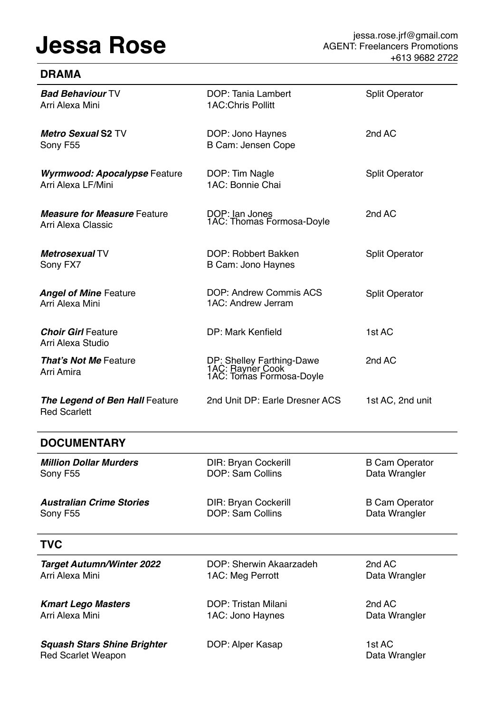**DRAMA**

| <b>Bad Behaviour TV</b><br>Arri Alexa Mini                | DOP: Tania Lambert<br>1AC: Chris Pollitt                                  | <b>Split Operator</b> |
|-----------------------------------------------------------|---------------------------------------------------------------------------|-----------------------|
| <b>Metro Sexual S2 TV</b><br>Sony F55                     | DOP: Jono Haynes<br>B Cam: Jensen Cope                                    | 2nd AC                |
| <b>Wyrmwood: Apocalypse Feature</b><br>Arri Alexa LF/Mini | DOP: Tim Nagle<br>1AC: Bonnie Chai                                        | <b>Split Operator</b> |
| <b>Measure for Measure Feature</b><br>Arri Alexa Classic  | DOP: Ian Jones<br>1AC: Thomas Formosa-Doyle                               | 2nd AC                |
| Metrosexual TV<br>Sony FX7                                | DOP: Robbert Bakken<br>B Cam: Jono Haynes                                 | <b>Split Operator</b> |
| <b>Angel of Mine Feature</b><br>Arri Alexa Mini           | DOP: Andrew Commis ACS<br>1AC: Andrew Jerram                              | <b>Split Operator</b> |
| <b>Choir Girl Feature</b><br>Arri Alexa Studio            | DP: Mark Kenfield                                                         | 1st AC                |
| <b>That's Not Me Feature</b><br>Arri Amira                | DP: Shelley Farthing-Dawe<br>1AC: Rayner Cook<br>1AC: Tomas Formosa-Doyle | 2nd AC                |
| The Legend of Ben Hall Feature<br><b>Red Scarlett</b>     | 2nd Unit DP: Earle Dresner ACS                                            | 1st AC, 2nd unit      |

# **DOCUMENTARY**

| <b>Million Dollar Murders</b>                                   | <b>DIR: Bryan Cockerill</b> | <b>B Cam Operator</b>   |
|-----------------------------------------------------------------|-----------------------------|-------------------------|
| Sony F55                                                        | <b>DOP: Sam Collins</b>     | Data Wrangler           |
| <b>Australian Crime Stories</b>                                 | <b>DIR: Bryan Cockerill</b> | <b>B Cam Operator</b>   |
| Sony F55                                                        | <b>DOP: Sam Collins</b>     | Data Wrangler           |
| <b>TVC</b>                                                      |                             |                         |
| <b>Target Autumn/Winter 2022</b>                                | DOP: Sherwin Akaarzadeh     | 2nd AC                  |
| Arri Alexa Mini                                                 | 1AC: Meg Perrott            | Data Wrangler           |
| <b>Kmart Lego Masters</b>                                       | DOP: Tristan Milani         | 2nd AC                  |
| Arri Alexa Mini                                                 | 1AC: Jono Haynes            | Data Wrangler           |
| <b>Squash Stars Shine Brighter</b><br><b>Red Scarlet Weapon</b> | DOP: Alper Kasap            | 1st AC<br>Data Wrangler |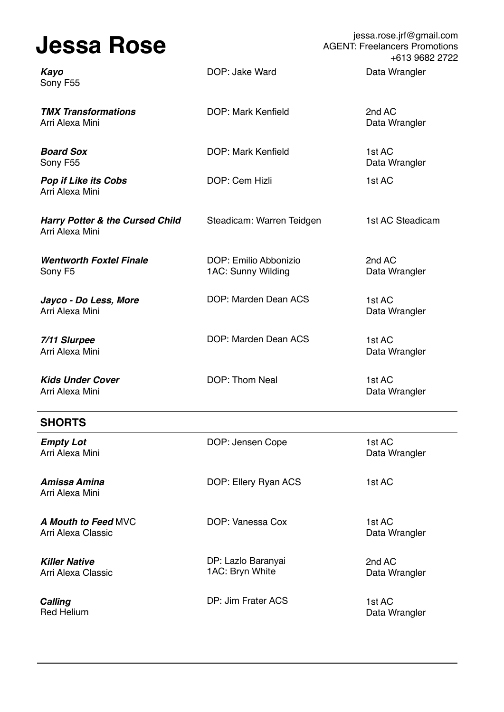| <b>Jessa Rose</b>                                             |                                             | jessa.rose.jrf@gmail.com<br><b>AGENT: Freelancers Promotions</b><br>+613 9682 2722 |
|---------------------------------------------------------------|---------------------------------------------|------------------------------------------------------------------------------------|
| Kayo<br>Sony F55                                              | DOP: Jake Ward                              | Data Wrangler                                                                      |
| <b>TMX Transformations</b><br>Arri Alexa Mini                 | <b>DOP: Mark Kenfield</b>                   | 2nd AC<br>Data Wrangler                                                            |
| <b>Board Sox</b><br>Sony F55                                  | <b>DOP: Mark Kenfield</b>                   | 1st AC<br>Data Wrangler                                                            |
| <b>Pop if Like its Cobs</b><br>Arri Alexa Mini                | DOP: Cem Hizli                              | 1st AC                                                                             |
| <b>Harry Potter &amp; the Cursed Child</b><br>Arri Alexa Mini | Steadicam: Warren Teidgen                   | 1st AC Steadicam                                                                   |
| <b>Wentworth Foxtel Finale</b><br>Sony F5                     | DOP: Emilio Abbonizio<br>1AC: Sunny Wilding | 2nd AC<br>Data Wrangler                                                            |
| Jayco - Do Less, More<br>Arri Alexa Mini                      | DOP: Marden Dean ACS                        | 1st AC<br>Data Wrangler                                                            |
| 7/11 Slurpee<br>Arri Alexa Mini                               | DOP: Marden Dean ACS                        | 1st AC<br>Data Wrangler                                                            |
| <b>Kids Under Cover</b><br>Arri Alexa Mini                    | DOP: Thom Neal                              | 1st AC<br>Data Wrangler                                                            |

| <b>SHORTS</b>                                    |                                       |                         |
|--------------------------------------------------|---------------------------------------|-------------------------|
| <b>Empty Lot</b><br>Arri Alexa Mini              | DOP: Jensen Cope                      | 1st AC<br>Data Wrangler |
| Amissa Amina<br>Arri Alexa Mini                  | DOP: Ellery Ryan ACS                  | 1st AC                  |
| <b>A Mouth to Feed MVC</b><br>Arri Alexa Classic | DOP: Vanessa Cox                      | 1st AC<br>Data Wrangler |
| <b>Killer Native</b><br>Arri Alexa Classic       | DP: Lazlo Baranyai<br>1AC: Bryn White | 2nd AC<br>Data Wrangler |
| <b>Calling</b><br><b>Red Helium</b>              | DP: Jim Frater ACS                    | 1st AC<br>Data Wrangler |